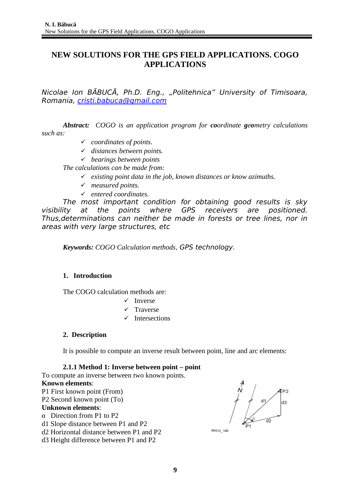## **NEW SOLUTIONS FOR THE GPS FIELD APPLICATIONS. COGO APPLICATIONS**

Nicolae Ion BĂBUCĂ, Ph.D. Eng., "Politehnica" University of Timisoara, Romania, [cristi.babuca@gmail.com](mailto:cristi.babuca@gmail.com)

*Abstract: COGO is an application program for coordinate geometry calculations such as:*

- *coordinates of points.*
- *distances between points.*
- *bearings between points*

*The calculations can be made from:*

- *existing point data in the job, known distances or know azimuths.*
- *measured points.*
- *entered coordinates.*

The most important condition for obtaining good results is sky visibility at the points where GPS receivers are positioned. Thus,determinations can neither be made in forests or tree lines, nor in areas with very large structures, etc

*Keywords: COGO Calculation methods,* GPS technology.

## **1. Introduction**

The COGO calculation methods are:

- $\checkmark$  Inverse
- $\checkmark$  Traverse
- $\checkmark$  Intersections

## **2. Description**

It is possible to compute an inverse result between point, line and arc elements:

## **2.1.1 Method 1: Inverse between point – point**

To compute an inverse between two known points. **Known elements**: P1 First known point (From) P2 Second known point (To) **Unknown elements**: α Direction from P1 to P2 d1 Slope distance between P1 and P2 d2 Horizontal distance between P1 and P2 d3 Height difference between P1 and P2

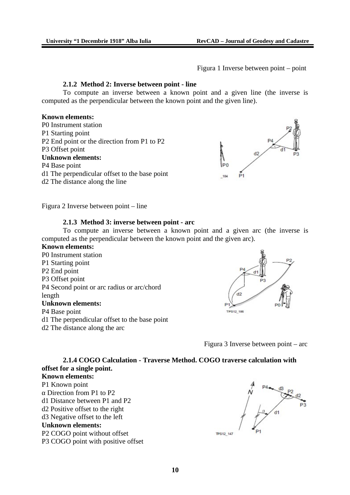Figura 1 Inverse between point – point

## **2.1.2 Method 2: Inverse between point - line**

To compute an inverse between a known point and a given line (the inverse is computed as the perpendicular between the known point and the given line).

## **Known elements:**

P0 Instrument station P1 Starting point P2 End point or the direction from P1 to P2 P3 Offset point **Unknown elements:** P4 Base point d1 The perpendicular offset to the base point d2 The distance along the line



Figura 2 Inverse between point – line

## **2.1.3 Method 3: inverse between point - arc**

To compute an inverse between a known point and a given arc (the inverse is computed as the perpendicular between the known point and the given arc).

- **Known elements:** P0 Instrument station P1 Starting point P2 End point P3 Offset point P4 Second point or arc radius or arc/chord length **Unknown elements:** P4 Base point d1 The perpendicular offset to the base point
- d2 The distance along the arc



Figura 3 Inverse between point – arc

## **2.1.4 COGO Calculation - Traverse Method. COGO traverse calculation with offset for a single point.**

## **Known elements:** P1 Known point

- α Direction from P1 to P2
- d1 Distance between P1 and P2
- d2 Positive offset to the right
- d3 Negative offset to the left

## **Unknown elements:**

P2 COGO point without offset P3 COGO point with positive offset

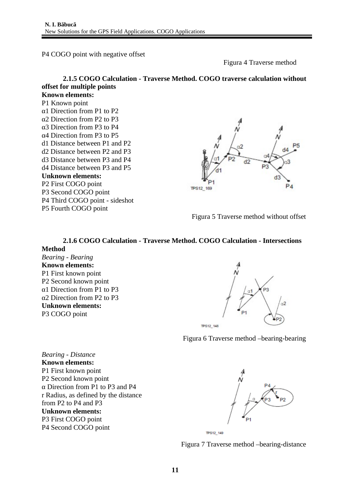P4 COGO point with negative offset

Figura 4 Traverse method

## **2.1.5 COGO Calculation - Traverse Method. COGO traverse calculation without offset for multiple points Known elements:**

P1 Known point α1 Direction from P1 to P2 α2 Direction from P2 to P3 α3 Direction from P3 to P4 α4 Direction from P3 to P5 d1 Distance between P1 and P2 d2 Distance between P2 and P3 d3 Distance between P3 and P4 d4 Distance between P3 and P5 **Unknown elements:** P2 First COGO point P3 Second COGO point P4 Third COGO point - sideshot P5 Fourth COGO point



Figura 5 Traverse method without offset

# **2.1.6 COGO Calculation - Traverse Method. COGO Calculation - Intersections**

#### **Method**

*Bearing - Bearing* **Known elements:** P1 First known point P2 Second known point α1 Direction from P1 to P3 α2 Direction from P2 to P3 **Unknown elements:** P3 COGO point



Figura 6 Traverse method –bearing-bearing

*Bearing - Distance* **Known elements:** P1 First known point P2 Second known point α Direction from P1 to P3 and P4 r Radius, as defined by the distance from P2 to P4 and P3 **Unknown elements:** P3 First COGO point P4 Second COGO point





Figura 7 Traverse method –bearing-distance